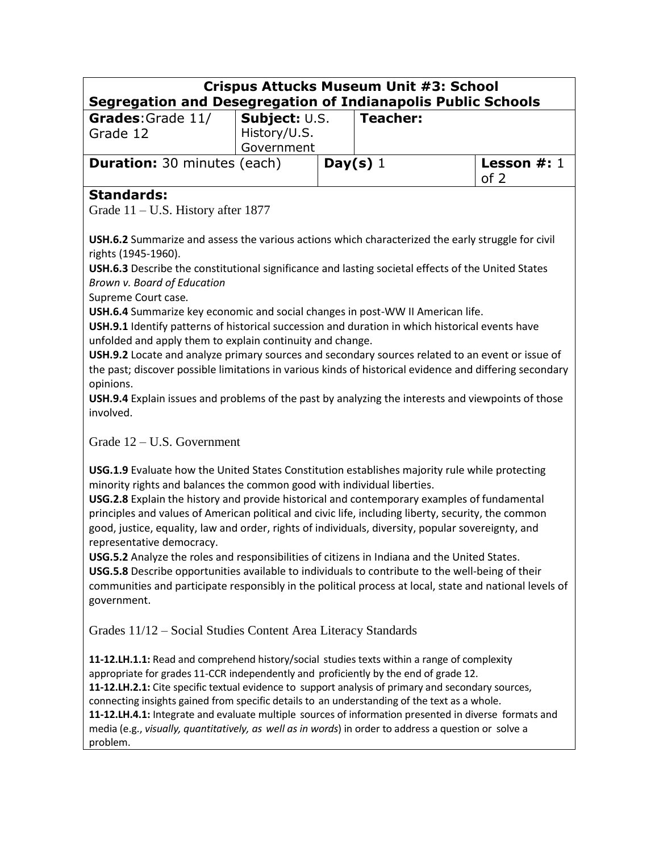| <b>Segregation and Desegregation of Indianapolis Public Schools</b> |                            |            | <b>Crispus Attucks Museum Unit #3: School</b> |                       |
|---------------------------------------------------------------------|----------------------------|------------|-----------------------------------------------|-----------------------|
| Grades: Grade 11/                                                   | Subject: U.S.              |            | <b>Teacher:</b>                               |                       |
| Grade 12                                                            | History/U.S.<br>Government |            |                                               |                       |
| <b>Duration:</b> 30 minutes (each)                                  |                            | Day(s) $1$ |                                               | Lesson $#: 1$<br>of 2 |
| <b>Standards:</b>                                                   |                            |            |                                               |                       |

Grade 11 – U.S. History after 1877

**USH.6.2** Summarize and assess the various actions which characterized the early struggle for civil rights (1945-1960).

**USH.6.3** Describe the constitutional significance and lasting societal effects of the United States *Brown v. Board of Education*

Supreme Court case*.*

**USH.6.4** Summarize key economic and social changes in post-WW II American life.

**USH.9.1** Identify patterns of historical succession and duration in which historical events have unfolded and apply them to explain continuity and change.

**USH.9.2** Locate and analyze primary sources and secondary sources related to an event or issue of the past; discover possible limitations in various kinds of historical evidence and differing secondary opinions.

**USH.9.4** Explain issues and problems of the past by analyzing the interests and viewpoints of those involved.

### Grade 12 – U.S. Government

**USG.1.9** Evaluate how the United States Constitution establishes majority rule while protecting minority rights and balances the common good with individual liberties.

**USG.2.8** Explain the history and provide historical and contemporary examples of fundamental principles and values of American political and civic life, including liberty, security, the common good, justice, equality, law and order, rights of individuals, diversity, popular sovereignty, and representative democracy.

**USG.5.2** Analyze the roles and responsibilities of citizens in Indiana and the United States.

**USG.5.8** Describe opportunities available to individuals to contribute to the well-being of their communities and participate responsibly in the political process at local, state and national levels of government.

Grades 11/12 – Social Studies Content Area Literacy Standards

**11-12.LH.1.1:** Read and comprehend history/social studies texts within a range of complexity appropriate for grades 11-CCR independently and proficiently by the end of grade 12. **11-12.LH.2.1:** Cite specific textual evidence to support analysis of primary and secondary sources, connecting insights gained from specific details to an understanding of the text as a whole. **11-12.LH.4.1:** Integrate and evaluate multiple sources of information presented in diverse formats and media (e.g., *visually, quantitatively, as well as in words*) in order to address a question or solve a problem.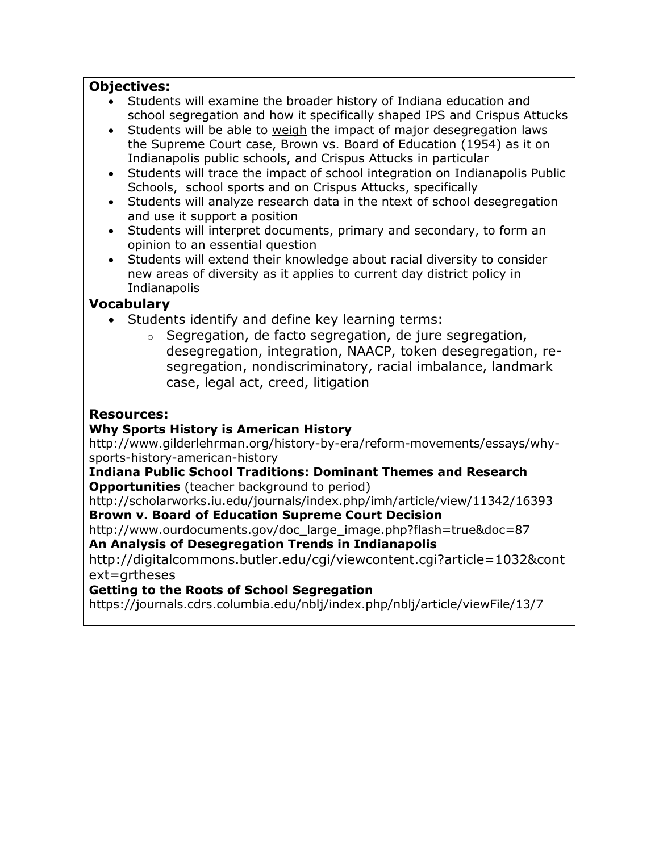## **Objectives:**

- Students will examine the broader history of Indiana education and school segregation and how it specifically shaped IPS and Crispus Attucks
- Students will be able to weigh the impact of major desegregation laws the Supreme Court case, Brown vs. Board of Education (1954) as it on Indianapolis public schools, and Crispus Attucks in particular
- Students will trace the impact of school integration on Indianapolis Public Schools, school sports and on Crispus Attucks, specifically
- Students will analyze research data in the ntext of school desegregation and use it support a position
- Students will interpret documents, primary and secondary, to form an opinion to an essential question
- Students will extend their knowledge about racial diversity to consider new areas of diversity as it applies to current day district policy in Indianapolis

#### **Vocabulary**

- Students identify and define key learning terms:
	- o Segregation, de facto segregation, de jure segregation, desegregation, integration, NAACP, token desegregation, resegregation, nondiscriminatory, racial imbalance, landmark case, legal act, creed, litigation

#### **Resources:**

#### **Why Sports History is American History**

http://www.gilderlehrman.org/history-by-era/reform-movements/essays/whysports-history-american-history

#### **Indiana Public School Traditions: Dominant Themes and Research Opportunities** (teacher background to period)

http://scholarworks.iu.edu/journals/index.php/imh/article/view/11342/16393 **Brown v. Board of Education Supreme Court Decision**

http://www.ourdocuments.gov/doc\_large\_image.php?flash=true&doc=87

**An Analysis of Desegregation Trends in Indianapolis** 

http://digitalcommons.butler.edu/cgi/viewcontent.cgi?article=1032&cont ext=grtheses

### **Getting to the Roots of School Segregation**

https://journals.cdrs.columbia.edu/nblj/index.php/nblj/article/viewFile/13/7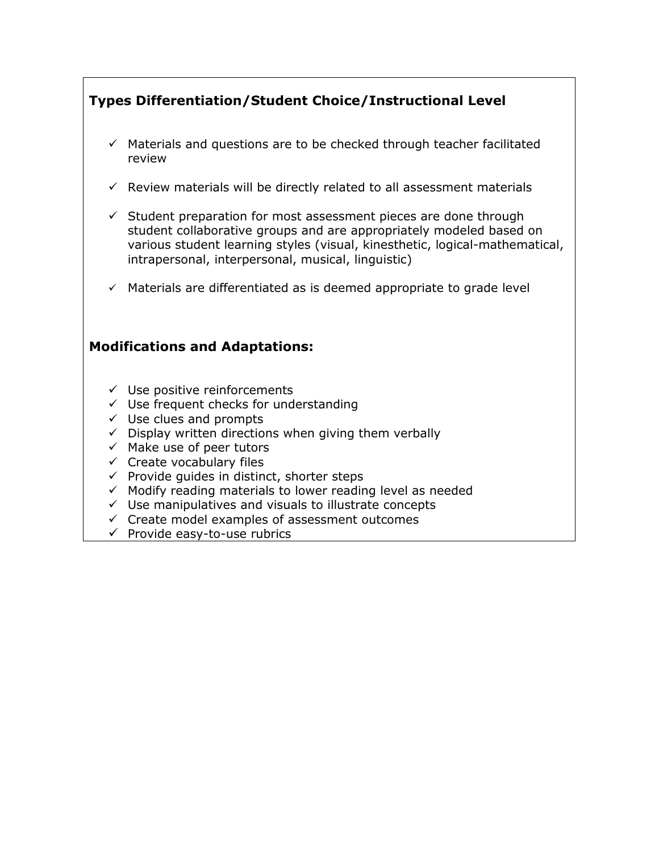## **Types Differentiation/Student Choice/Instructional Level**

- $\checkmark$  Materials and questions are to be checked through teacher facilitated review
- $\checkmark$  Review materials will be directly related to all assessment materials
- $\checkmark$  Student preparation for most assessment pieces are done through student collaborative groups and are appropriately modeled based on various student learning styles (visual, kinesthetic, logical-mathematical, intrapersonal, interpersonal, musical, linguistic)
- $\checkmark$  Materials are differentiated as is deemed appropriate to grade level

## **Modifications and Adaptations:**

- $\checkmark$  Use positive reinforcements
- $\checkmark$  Use frequent checks for understanding
- $\checkmark$  Use clues and prompts
- $\checkmark$  Display written directions when giving them verbally
- $\checkmark$  Make use of peer tutors
- $\checkmark$  Create vocabulary files
- $\checkmark$  Provide guides in distinct, shorter steps
- $\checkmark$  Modify reading materials to lower reading level as needed
- $\checkmark$  Use manipulatives and visuals to illustrate concepts
- $\checkmark$  Create model examples of assessment outcomes
- $\checkmark$  Provide easy-to-use rubrics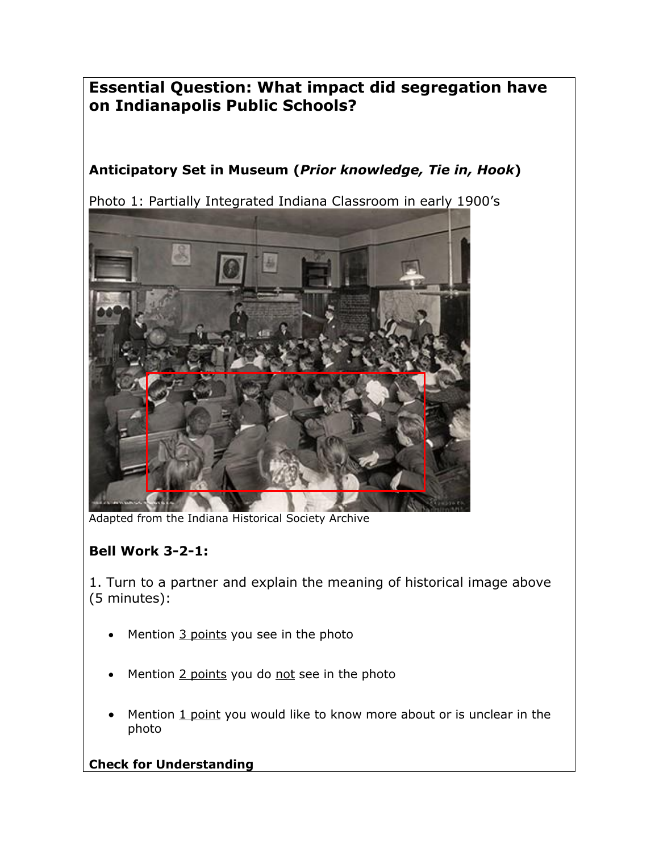# **Essential Question: What impact did segregation have on Indianapolis Public Schools?**

# **Anticipatory Set in Museum (***Prior knowledge, Tie in, Hook***)**

Photo 1: Partially Integrated Indiana Classroom in early 1900's



Adapted from the Indiana Historical Society Archive

## **Bell Work 3-2-1:**

1. Turn to a partner and explain the meaning of historical image above (5 minutes):

- Mention 3 points you see in the photo
- Mention 2 points you do not see in the photo
- Mention 1 point you would like to know more about or is unclear in the photo

### **Check for Understanding**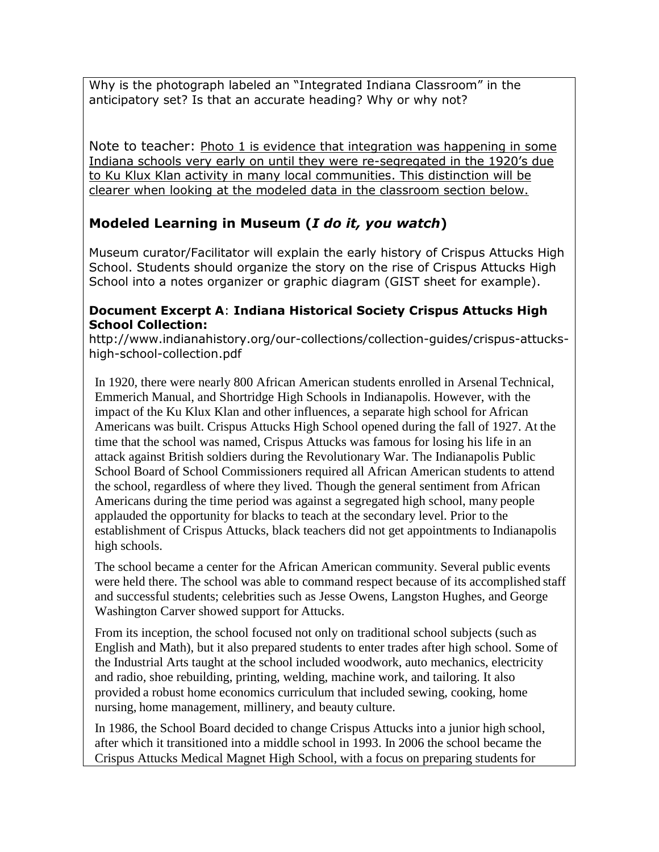Why is the photograph labeled an "Integrated Indiana Classroom" in the anticipatory set? Is that an accurate heading? Why or why not?

Note to teacher: Photo 1 is evidence that integration was happening in some Indiana schools very early on until they were re-segregated in the 1920's due to Ku Klux Klan activity in many local communities. This distinction will be clearer when looking at the modeled data in the classroom section below.

## **Modeled Learning in Museum (***I do it, you watch***)**

Museum curator/Facilitator will explain the early history of Crispus Attucks High School. Students should organize the story on the rise of Crispus Attucks High School into a notes organizer or graphic diagram (GIST sheet for example).

#### **Document Excerpt A**: **Indiana Historical Society Crispus Attucks High School Collection:**

http://www.indianahistory.org/our-collections/collection-guides/crispus-attuckshigh-school-collection.pdf

In 1920, there were nearly 800 African American students enrolled in Arsenal Technical, Emmerich Manual, and Shortridge High Schools in Indianapolis. However, with the impact of the Ku Klux Klan and other influences, a separate high school for African Americans was built. Crispus Attucks High School opened during the fall of 1927. At the time that the school was named, Crispus Attucks was famous for losing his life in an attack against British soldiers during the Revolutionary War. The Indianapolis Public School Board of School Commissioners required all African American students to attend the school, regardless of where they lived. Though the general sentiment from African Americans during the time period was against a segregated high school, many people applauded the opportunity for blacks to teach at the secondary level. Prior to the establishment of Crispus Attucks, black teachers did not get appointments to Indianapolis high schools.

The school became a center for the African American community. Several public events were held there. The school was able to command respect because of its accomplished staff and successful students; celebrities such as Jesse Owens, Langston Hughes, and George Washington Carver showed support for Attucks.

From its inception, the school focused not only on traditional school subjects (such as English and Math), but it also prepared students to enter trades after high school. Some of the Industrial Arts taught at the school included woodwork, auto mechanics, electricity and radio, shoe rebuilding, printing, welding, machine work, and tailoring. It also provided a robust home economics curriculum that included sewing, cooking, home nursing, home management, millinery, and beauty culture.

In 1986, the School Board decided to change Crispus Attucks into a junior high school, after which it transitioned into a middle school in 1993. In 2006 the school became the Crispus Attucks Medical Magnet High School, with a focus on preparing students for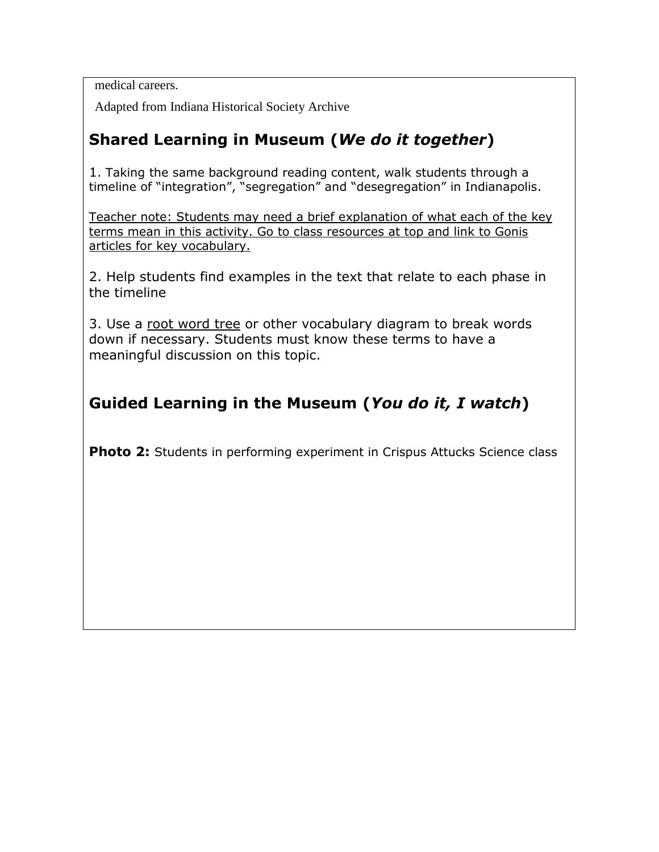medical careers.

Adapted from Indiana Historical Society Archive

# **Shared Learning in Museum (***We do it together***)**

1. Taking the same background reading content, walk students through a timeline of "integration", "segregation" and "desegregation" in Indianapolis.

Teacher note: Students may need a brief explanation of what each of the key terms mean in this activity. Go to class resources at top and link to Gonis articles for key vocabulary.

2. Help students find examples in the text that relate to each phase in the timeline

3. Use a root word tree or other vocabulary diagram to break words down if necessary. Students must know these terms to have a meaningful discussion on this topic.

# **Guided Learning in the Museum (***You do it, I watch***)**

**Photo 2:** Students in performing experiment in Crispus Attucks Science class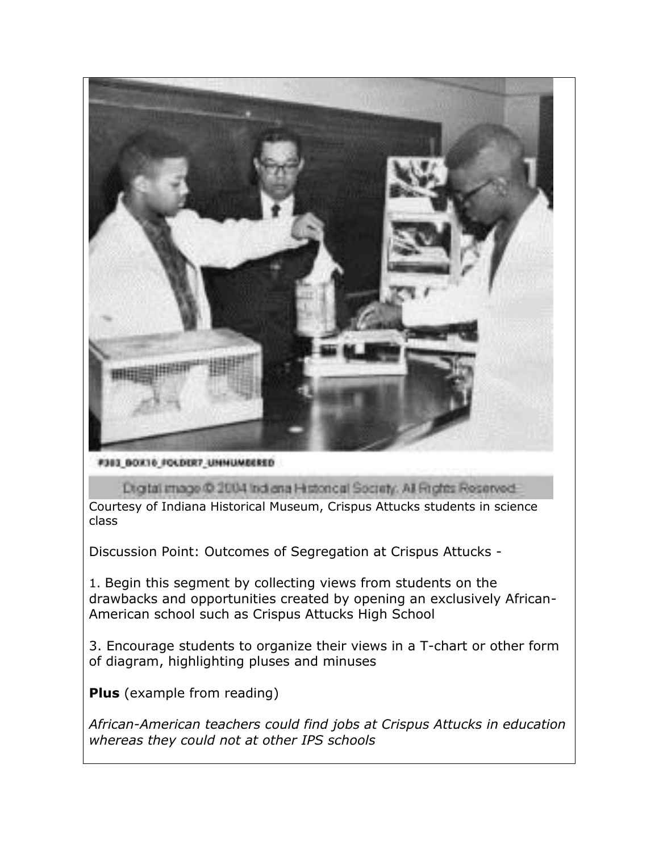

**F383 BOXT6 FOLDER7\_UNNUMBERED** 

Digital image @ 2004 Indiana Historical Society: All Rights Reserved.

Courtesy of Indiana Historical Museum, Crispus Attucks students in science class

Discussion Point: Outcomes of Segregation at Crispus Attucks -

1. Begin this segment by collecting views from students on the drawbacks and opportunities created by opening an exclusively African-American school such as Crispus Attucks High School

3. Encourage students to organize their views in a T-chart or other form of diagram, highlighting pluses and minuses

**Plus** (example from reading)

*African-American teachers could find jobs at Crispus Attucks in education whereas they could not at other IPS schools*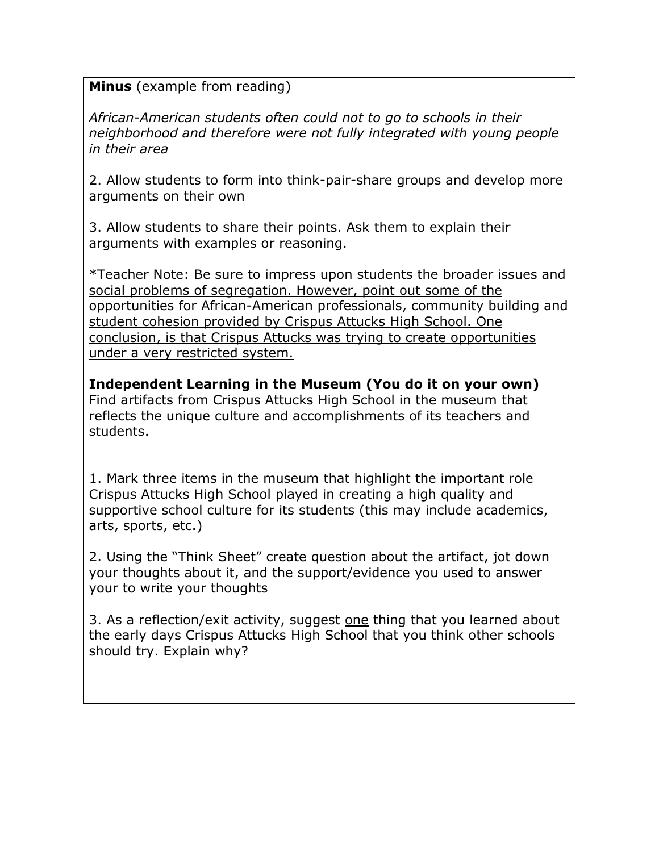**Minus** (example from reading)

*African-American students often could not to go to schools in their neighborhood and therefore were not fully integrated with young people in their area*

2. Allow students to form into think-pair-share groups and develop more arguments on their own

3. Allow students to share their points. Ask them to explain their arguments with examples or reasoning.

\*Teacher Note: Be sure to impress upon students the broader issues and social problems of segregation. However, point out some of the opportunities for African-American professionals, community building and student cohesion provided by Crispus Attucks High School. One conclusion, is that Crispus Attucks was trying to create opportunities under a very restricted system.

**Independent Learning in the Museum (You do it on your own)** Find artifacts from Crispus Attucks High School in the museum that reflects the unique culture and accomplishments of its teachers and students.

1. Mark three items in the museum that highlight the important role Crispus Attucks High School played in creating a high quality and supportive school culture for its students (this may include academics, arts, sports, etc.)

2. Using the "Think Sheet" create question about the artifact, jot down your thoughts about it, and the support/evidence you used to answer your to write your thoughts

3. As a reflection/exit activity, suggest one thing that you learned about the early days Crispus Attucks High School that you think other schools should try. Explain why?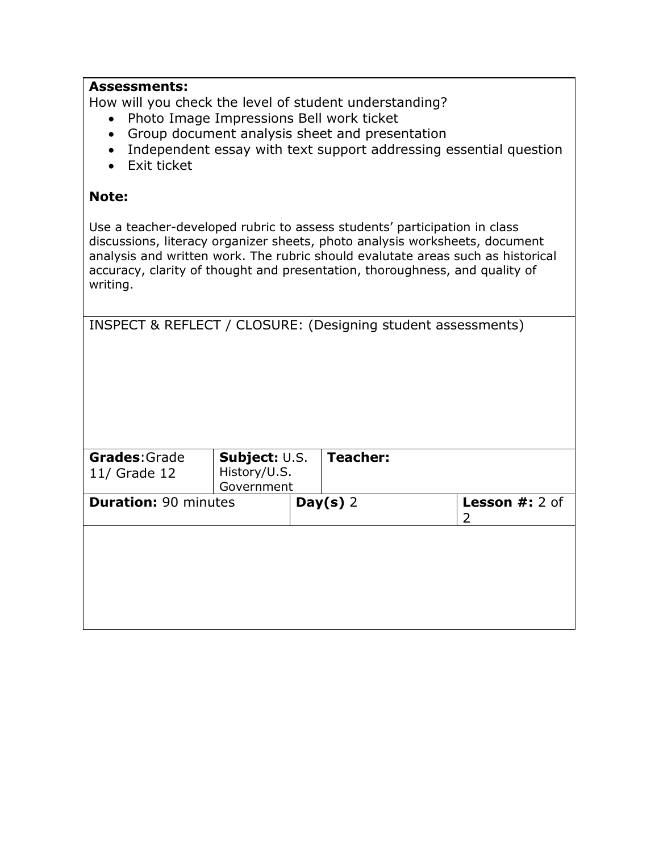| <b>Assessments:</b><br>Photo Image Impressions Bell work ticket<br>$\bullet$<br>Exit ticket |                               | How will you check the level of student understanding?<br>Group document analysis sheet and presentation<br>Independent essay with text support addressing essential question                                                                                                                                              |                     |
|---------------------------------------------------------------------------------------------|-------------------------------|----------------------------------------------------------------------------------------------------------------------------------------------------------------------------------------------------------------------------------------------------------------------------------------------------------------------------|---------------------|
| Note:                                                                                       |                               |                                                                                                                                                                                                                                                                                                                            |                     |
| writing.                                                                                    |                               | Use a teacher-developed rubric to assess students' participation in class<br>discussions, literacy organizer sheets, photo analysis worksheets, document<br>analysis and written work. The rubric should evalutate areas such as historical<br>accuracy, clarity of thought and presentation, thoroughness, and quality of |                     |
|                                                                                             |                               | INSPECT & REFLECT / CLOSURE: (Designing student assessments)                                                                                                                                                                                                                                                               |                     |
| Grades: Grade<br>11/ Grade 12                                                               | Subject: U.S.<br>History/U.S. | <b>Teacher:</b>                                                                                                                                                                                                                                                                                                            |                     |
| <b>Duration: 90 minutes</b>                                                                 | Government                    | Day(s) $2$                                                                                                                                                                                                                                                                                                                 | Lesson #: 2 of<br>2 |
|                                                                                             |                               |                                                                                                                                                                                                                                                                                                                            |                     |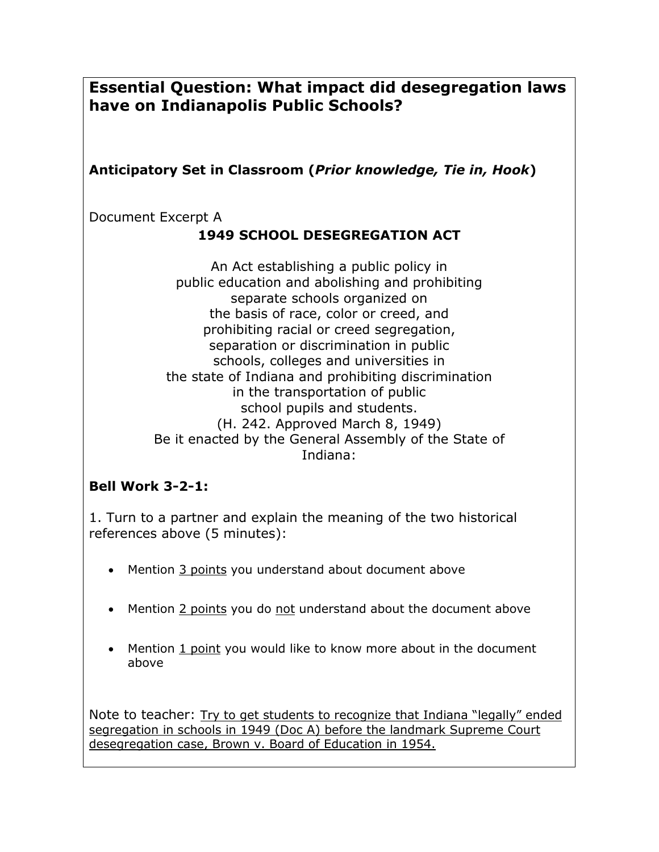**Essential Question: What impact did desegregation laws have on Indianapolis Public Schools?**

## **Anticipatory Set in Classroom (***Prior knowledge, Tie in, Hook***)**

Document Excerpt A

## **1949 SCHOOL DESEGREGATION ACT**

An Act establishing a public policy in public education and abolishing and prohibiting separate schools organized on the basis of race, color or creed, and prohibiting racial or creed segregation, separation or discrimination in public schools, colleges and universities in the state of Indiana and prohibiting discrimination in the transportation of public school pupils and students. (H. 242. Approved March 8, 1949) Be it enacted by the General Assembly of the State of Indiana:

## **Bell Work 3-2-1:**

1. Turn to a partner and explain the meaning of the two historical references above (5 minutes):

- Mention 3 points you understand about document above
- Mention 2 points you do not understand about the document above
- Mention 1 point you would like to know more about in the document above

Note to teacher: Try to get students to recognize that Indiana "legally" ended segregation in schools in 1949 (Doc A) before the landmark Supreme Court desegregation case, Brown v. Board of Education in 1954.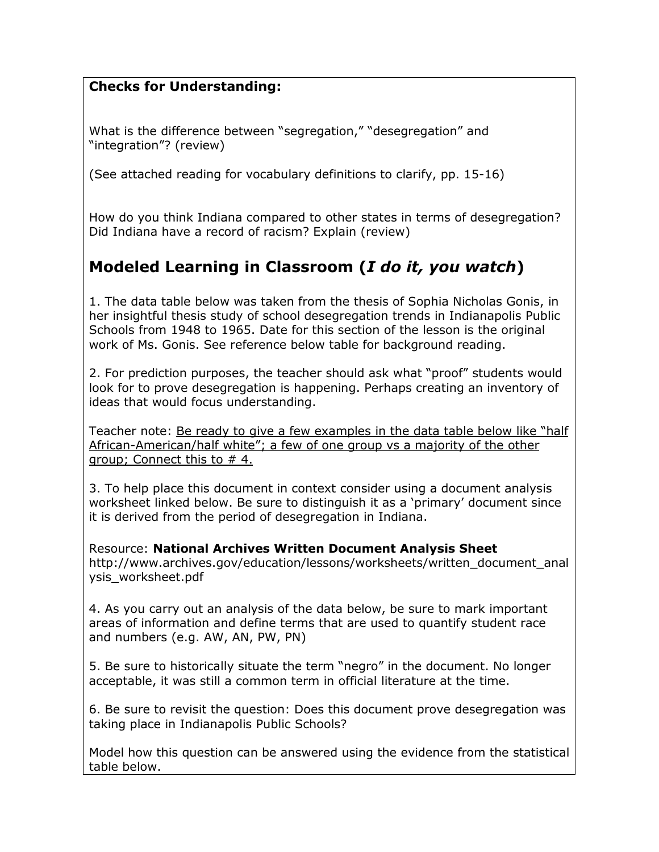## **Checks for Understanding:**

What is the difference between "segregation," "desegregation" and "integration"? (review)

(See attached reading for vocabulary definitions to clarify, pp. 15-16)

How do you think Indiana compared to other states in terms of desegregation? Did Indiana have a record of racism? Explain (review)

# **Modeled Learning in Classroom (***I do it, you watch***)**

1. The data table below was taken from the thesis of Sophia Nicholas Gonis, in her insightful thesis study of school desegregation trends in Indianapolis Public Schools from 1948 to 1965. Date for this section of the lesson is the original work of Ms. Gonis. See reference below table for background reading.

2. For prediction purposes, the teacher should ask what "proof" students would look for to prove desegregation is happening. Perhaps creating an inventory of ideas that would focus understanding.

Teacher note: Be ready to give a few examples in the data table below like "half African-American/half white"; a few of one group vs a majority of the other group; Connect this to # 4.

3. To help place this document in context consider using a document analysis worksheet linked below. Be sure to distinguish it as a 'primary' document since it is derived from the period of desegregation in Indiana.

Resource: **National Archives Written Document Analysis Sheet** http://www.archives.gov/education/lessons/worksheets/written\_document\_anal ysis\_worksheet.pdf

4. As you carry out an analysis of the data below, be sure to mark important areas of information and define terms that are used to quantify student race and numbers (e.g. AW, AN, PW, PN)

5. Be sure to historically situate the term "negro" in the document. No longer acceptable, it was still a common term in official literature at the time.

6. Be sure to revisit the question: Does this document prove desegregation was taking place in Indianapolis Public Schools?

Model how this question can be answered using the evidence from the statistical table below.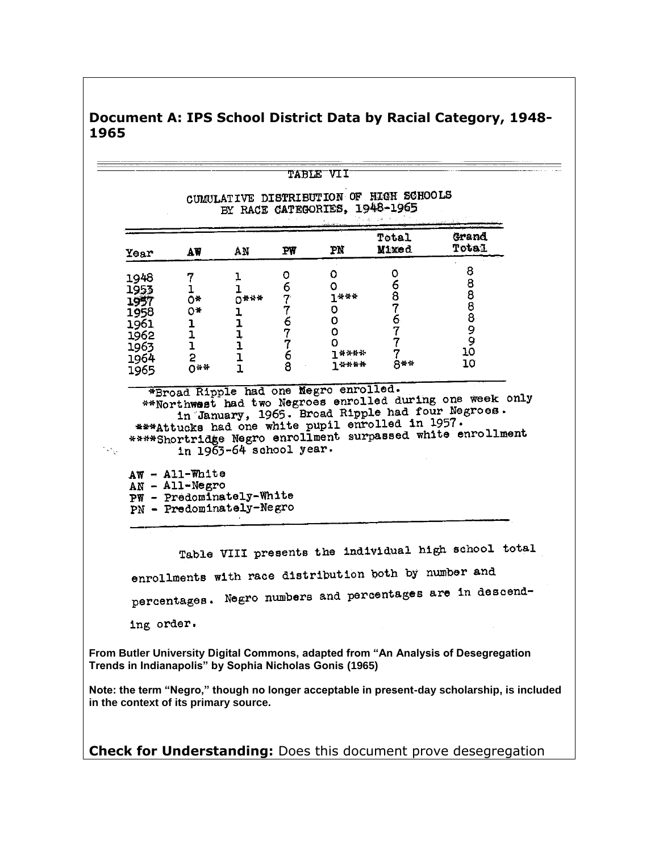| Year         | AW                                                                     | AN                      | PW       | PN                                                      | Total<br>Mixed                                   | Grand<br>Total                                                                                                                                                              |  |
|--------------|------------------------------------------------------------------------|-------------------------|----------|---------------------------------------------------------|--------------------------------------------------|-----------------------------------------------------------------------------------------------------------------------------------------------------------------------------|--|
| 1948         | 7                                                                      | ı                       | 0        | 0                                                       | ٥                                                | 8                                                                                                                                                                           |  |
| 1953         | $\mathbf 1$                                                            | ľ                       | 67767768 | 0                                                       | 687677                                           | 888899                                                                                                                                                                      |  |
| 1957         | 0*                                                                     | $0****$                 |          | $1***$                                                  |                                                  |                                                                                                                                                                             |  |
| 1958.        | 0*                                                                     | 1                       |          | 0                                                       |                                                  |                                                                                                                                                                             |  |
| 1961         | $\mathbf{1}$                                                           | ı                       |          | 0.<br>0                                                 |                                                  |                                                                                                                                                                             |  |
| 1962         | 1<br>$\mathbf{1}$                                                      | $\frac{1}{1}$           |          | 0.                                                      |                                                  |                                                                                                                                                                             |  |
| 1963<br>1964 | $\overline{c}$                                                         | ${\bf 1}$               |          | *****                                                   | 7                                                | 10                                                                                                                                                                          |  |
| 1965         | 0**                                                                    | $\mathbf{I}$            |          | ገ፠፠፠₩                                                   | 8**                                              | 10                                                                                                                                                                          |  |
|              |                                                                        |                         |          | *Broad Ripple had one Negro enrolled.                   |                                                  |                                                                                                                                                                             |  |
|              | $AW - All-White$                                                       | in 1963-64 school year. |          |                                                         | ***Attucks had one white pupil enrolled in 1957. | **Northwest had two Negroes enrolled during one week only<br>in January, 1965. Broad Ripple had four Negroes.<br>****Shortridge Negro enrollment surpassed white enrollment |  |
|              | AN - All-Negro<br>PW - Predominately-White<br>PN - Predominately-Negro |                         |          |                                                         |                                                  |                                                                                                                                                                             |  |
|              |                                                                        |                         |          |                                                         |                                                  | Table VIII presents the individual high school total                                                                                                                        |  |
|              |                                                                        |                         |          |                                                         |                                                  | enrollments with race distribution both by number and                                                                                                                       |  |
|              |                                                                        |                         |          |                                                         |                                                  | percentages. Negro numbers and percentages are in descend-                                                                                                                  |  |
| ing order.   |                                                                        |                         |          |                                                         |                                                  |                                                                                                                                                                             |  |
|              |                                                                        |                         |          | Trends in Indianapolis" by Sophia Nicholas Gonis (1965) |                                                  | From Butler University Digital Commons, adapted from "An Analysis of Desegregation                                                                                          |  |

## **Document A: IPS School District Data by Racial Category, 1948- 1965**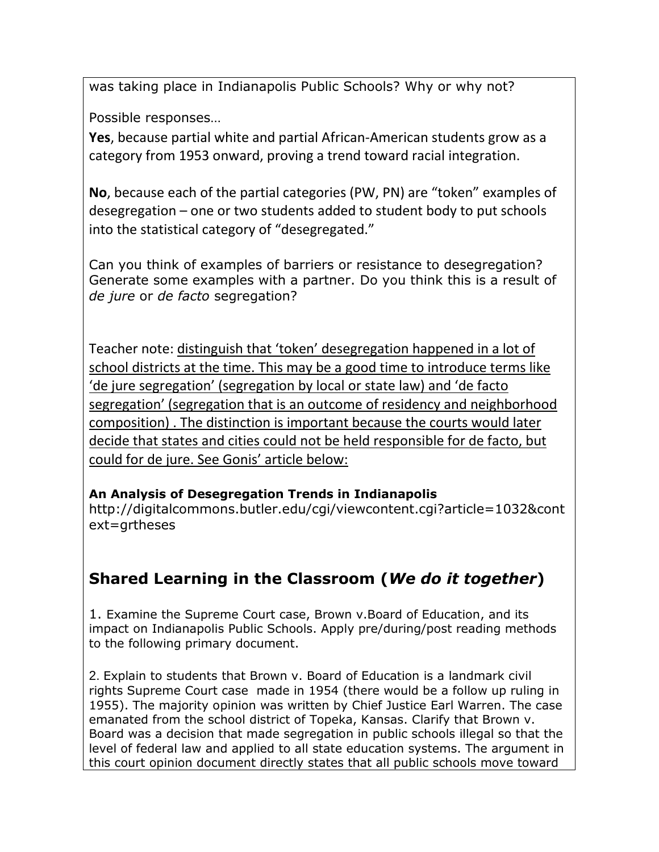was taking place in Indianapolis Public Schools? Why or why not?

Possible responses…

**Yes**, because partial white and partial African-American students grow as a category from 1953 onward, proving a trend toward racial integration.

**No**, because each of the partial categories (PW, PN) are "token" examples of desegregation – one or two students added to student body to put schools into the statistical category of "desegregated."

Can you think of examples of barriers or resistance to desegregation? Generate some examples with a partner. Do you think this is a result of *de jure* or *de facto* segregation?

Teacher note: distinguish that 'token' desegregation happened in a lot of school districts at the time. This may be a good time to introduce terms like 'de jure segregation' (segregation by local or state law) and 'de facto segregation' (segregation that is an outcome of residency and neighborhood composition) . The distinction is important because the courts would later decide that states and cities could not be held responsible for de facto, but could for de jure. See Gonis' article below:

## **An Analysis of Desegregation Trends in Indianapolis**

http://digitalcommons.butler.edu/cgi/viewcontent.cgi?article=1032&cont ext=grtheses

# **Shared Learning in the Classroom (***We do it together***)**

1. Examine the Supreme Court case, Brown v.Board of Education, and its impact on Indianapolis Public Schools. Apply pre/during/post reading methods to the following primary document.

2. Explain to students that Brown v. Board of Education is a landmark civil rights Supreme Court case made in 1954 (there would be a follow up ruling in 1955). The majority opinion was written by Chief Justice Earl Warren. The case emanated from the school district of Topeka, Kansas. Clarify that Brown v. Board was a decision that made segregation in public schools illegal so that the level of federal law and applied to all state education systems. The argument in this court opinion document directly states that all public schools move toward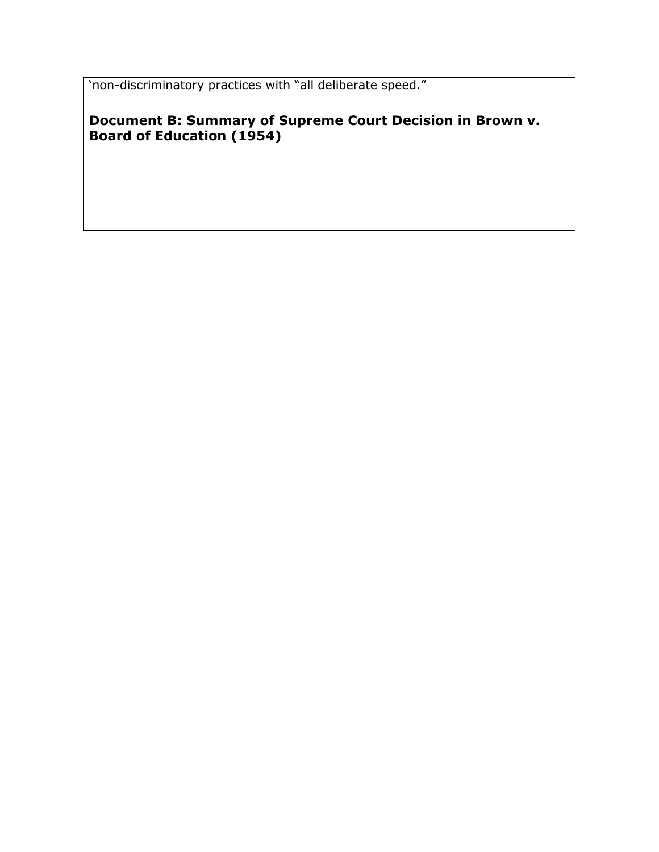'non-discriminatory practices with "all deliberate speed."

**Document B: Summary of Supreme Court Decision in Brown v. Board of Education (1954)**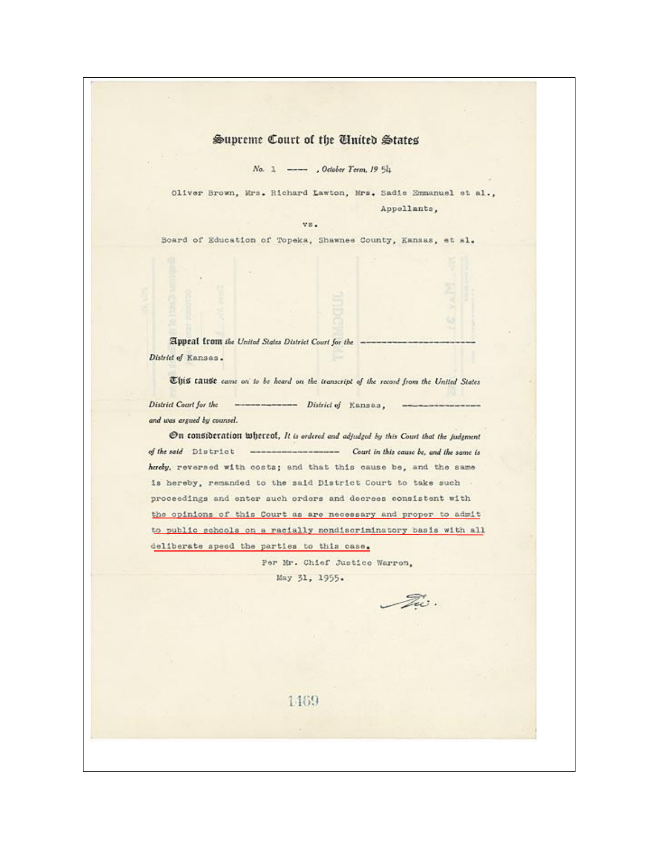#### Supreme Court of the United States

No. 1 --- , October Term, 19 54

Oliver Brown, Mrs. Richard Lawton, Mrs. Sadie Emmanuel et al., Appellants,

Board of Education of Topeka, Shawnee County, Kansas, et al.

vs.

Appeal from the United States District Court for the -District of Kansas.

This tause came on to be heard on the transcript of the record from the United States ---------------- District of Kansas, District Court for the and was argued by counsel.

On consideration whereof, It is ordered and adjudged by this Court that the judgment of the said District ----------------- Court in this cause be, and the same is hereby, reversed with costs; and that this cause be, and the same is hereby, remanded to the said District Court to take such . proceedings and enter such orders and decrees consistent with the opinions of this Court as are necessary and proper to admit to public schools on a racially nondiscriminatory basis with all deliberate speed the parties to this case.

> Per Mr. Chief Justice Warren, May 31, 1955.

Tw.

1469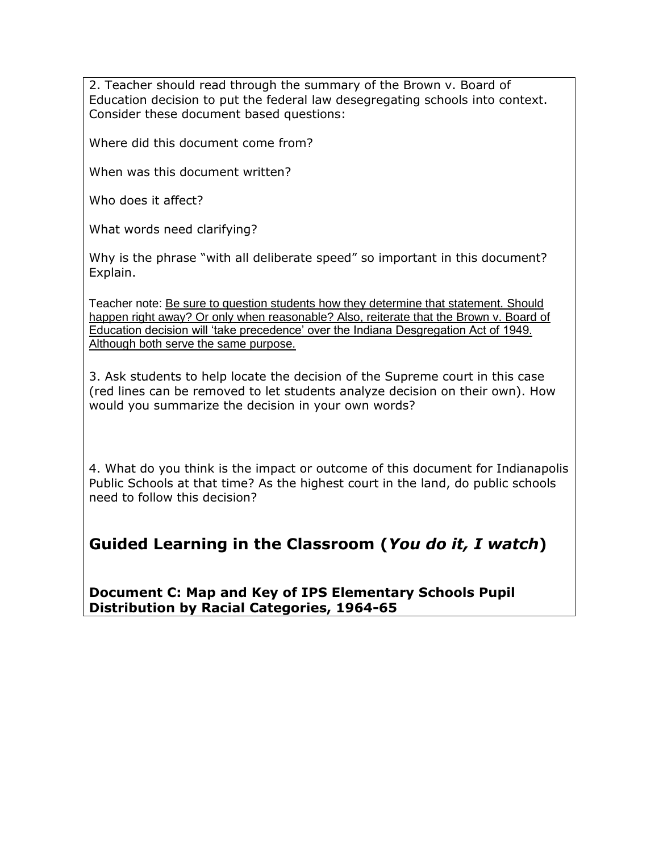2. Teacher should read through the summary of the Brown v. Board of Education decision to put the federal law desegregating schools into context. Consider these document based questions:

Where did this document come from?

When was this document written?

Who does it affect?

What words need clarifying?

Why is the phrase "with all deliberate speed" so important in this document? Explain.

Teacher note: Be sure to question students how they determine that statement. Should happen right away? Or only when reasonable? Also, reiterate that the Brown v. Board of Education decision will 'take precedence' over the Indiana Desgregation Act of 1949. Although both serve the same purpose.

3. Ask students to help locate the decision of the Supreme court in this case (red lines can be removed to let students analyze decision on their own). How would you summarize the decision in your own words?

4. What do you think is the impact or outcome of this document for Indianapolis Public Schools at that time? As the highest court in the land, do public schools need to follow this decision?

# **Guided Learning in the Classroom (***You do it, I watch***)**

**Document C: Map and Key of IPS Elementary Schools Pupil Distribution by Racial Categories, 1964-65**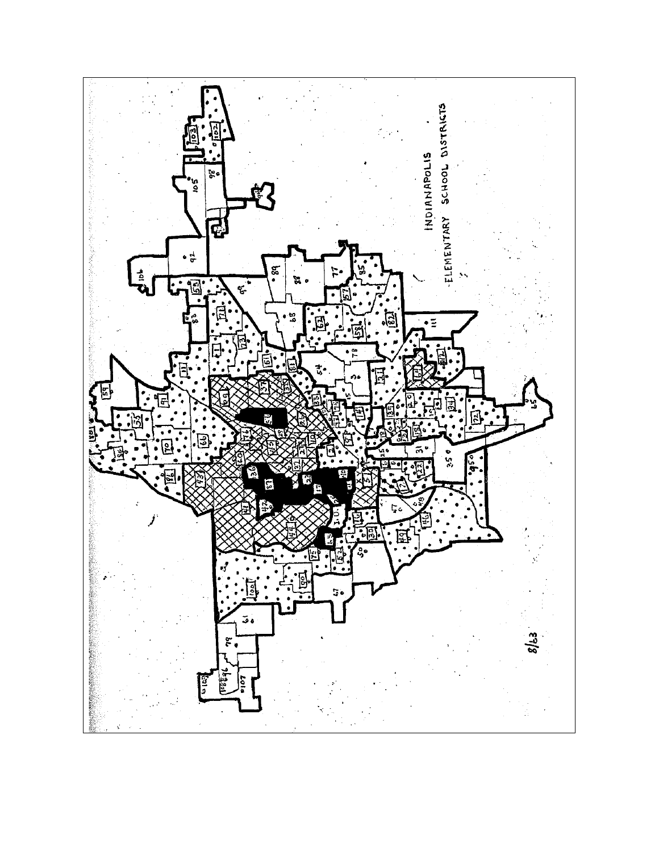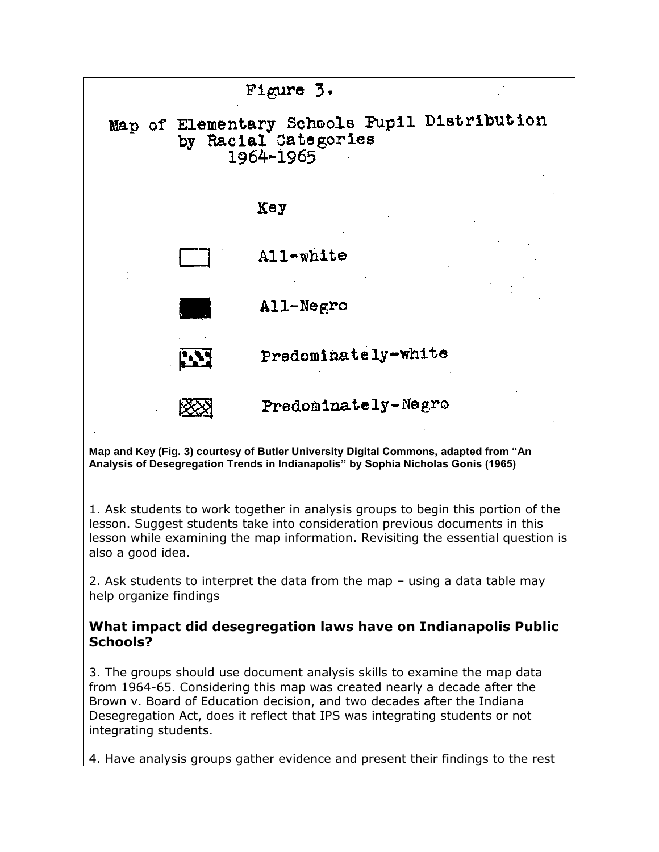

**Map and Key (Fig. 3) courtesy of Butler University Digital Commons, adapted from "An Analysis of Desegregation Trends in Indianapolis" by Sophia Nicholas Gonis (1965)**

1. Ask students to work together in analysis groups to begin this portion of the lesson. Suggest students take into consideration previous documents in this lesson while examining the map information. Revisiting the essential question is also a good idea.

2. Ask students to interpret the data from the map – using a data table may help organize findings

#### **What impact did desegregation laws have on Indianapolis Public Schools?**

3. The groups should use document analysis skills to examine the map data from 1964-65. Considering this map was created nearly a decade after the Brown v. Board of Education decision, and two decades after the Indiana Desegregation Act, does it reflect that IPS was integrating students or not integrating students.

4. Have analysis groups gather evidence and present their findings to the rest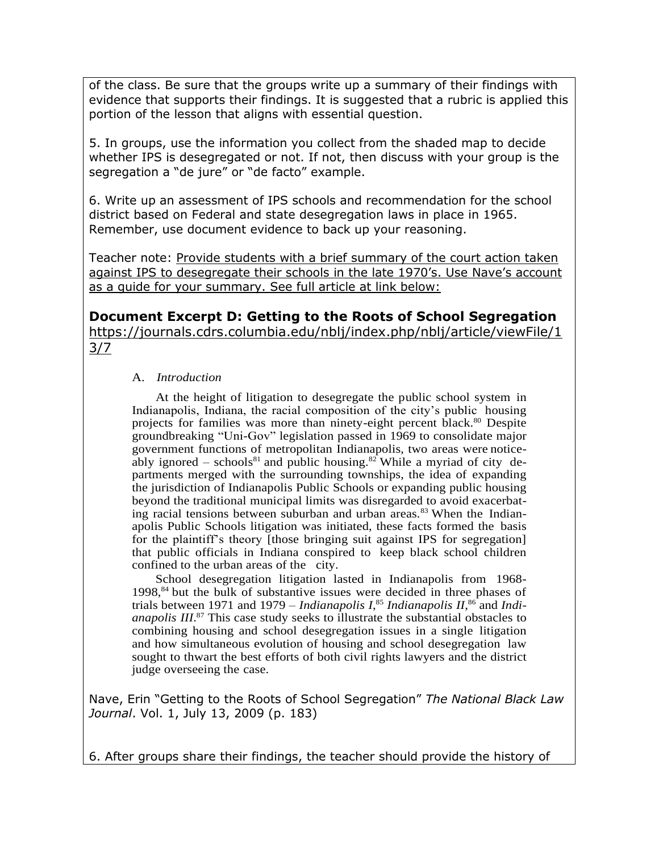of the class. Be sure that the groups write up a summary of their findings with evidence that supports their findings. It is suggested that a rubric is applied this portion of the lesson that aligns with essential question.

5. In groups, use the information you collect from the shaded map to decide whether IPS is desegregated or not. If not, then discuss with your group is the segregation a "de jure" or "de facto" example.

6. Write up an assessment of IPS schools and recommendation for the school district based on Federal and state desegregation laws in place in 1965. Remember, use document evidence to back up your reasoning.

Teacher note: Provide students with a brief summary of the court action taken against IPS to desegregate their schools in the late 1970's. Use Nave's account as a guide for your summary. See full article at link below:

**Document Excerpt D: Getting to the Roots of School Segregation**

https://journals.cdrs.columbia.edu/nblj/index.php/nblj/article/viewFile/1 3/7

#### A. *Introduction*

At the height of litigation to desegregate the public school system in Indianapolis, Indiana, the racial composition of the city's public housing projects for families was more than ninety-eight percent black.<sup>80</sup> Despite groundbreaking "Uni-Gov" legislation passed in 1969 to consolidate major government functions of metropolitan Indianapolis, two areas were noticeably ignored – schools<sup>81</sup> and public housing.<sup>82</sup> While a myriad of city departments merged with the surrounding townships, the idea of expanding the jurisdiction of Indianapolis Public Schools or expanding public housing beyond the traditional municipal limits was disregarded to avoid exacerbating racial tensions between suburban and urban areas.<sup>83</sup> When the Indianapolis Public Schools litigation was initiated, these facts formed the basis for the plaintiff's theory [those bringing suit against IPS for segregation] that public officials in Indiana conspired to keep black school children confined to the urban areas of the city.

School desegregation litigation lasted in Indianapolis from 1968-  $1998$ ,  $84$  but the bulk of substantive issues were decided in three phases of trials between 1971 and 1979 – *Indianapolis I*, <sup>85</sup> *Indianapolis II*, <sup>86</sup> and *Indianapolis III*. <sup>87</sup> This case study seeks to illustrate the substantial obstacles to combining housing and school desegregation issues in a single litigation and how simultaneous evolution of housing and school desegregation law sought to thwart the best efforts of both civil rights lawyers and the district judge overseeing the case.

Nave, Erin "Getting to the Roots of School Segregation" *The National Black Law Journal*. Vol. 1, July 13, 2009 (p. 183)

6. After groups share their findings, the teacher should provide the history of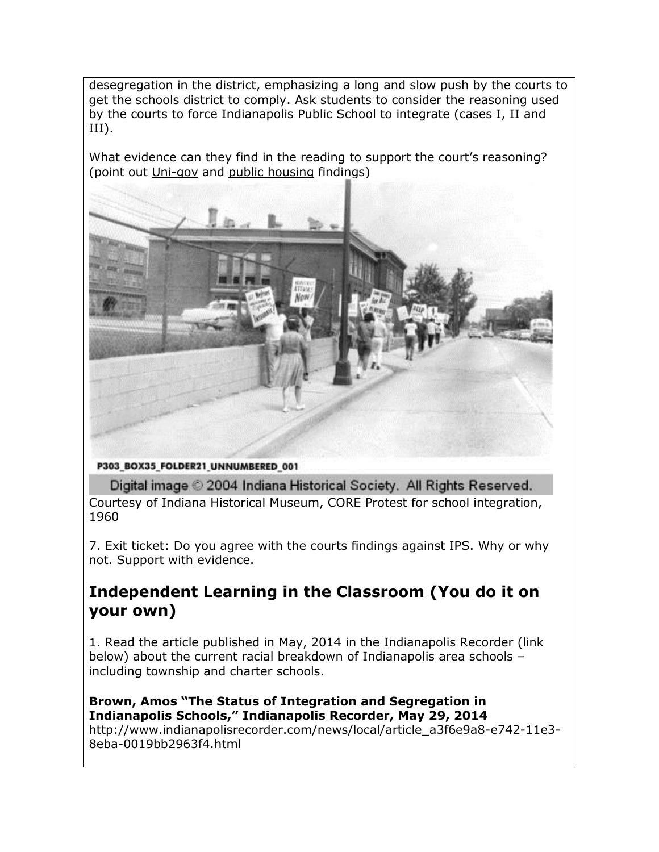desegregation in the district, emphasizing a long and slow push by the courts to get the schools district to comply. Ask students to consider the reasoning used by the courts to force Indianapolis Public School to integrate (cases I, II and III).

What evidence can they find in the reading to support the court's reasoning? (point out Uni-gov and public housing findings)



P303\_BOX35\_FOLDER21\_UNNUMBERED\_001

Digital image © 2004 Indiana Historical Society. All Rights Reserved.

Courtesy of Indiana Historical Museum, CORE Protest for school integration, 1960

7. Exit ticket: Do you agree with the courts findings against IPS. Why or why not. Support with evidence.

# **Independent Learning in the Classroom (You do it on your own)**

1. Read the article published in May, 2014 in the Indianapolis Recorder (link below) about the current racial breakdown of Indianapolis area schools – including township and charter schools.

#### **Brown, Amos "The Status of Integration and Segregation in Indianapolis Schools," Indianapolis Recorder, May 29, 2014**

http://www.indianapolisrecorder.com/news/local/article\_a3f6e9a8-e742-11e3- 8eba-0019bb2963f4.html